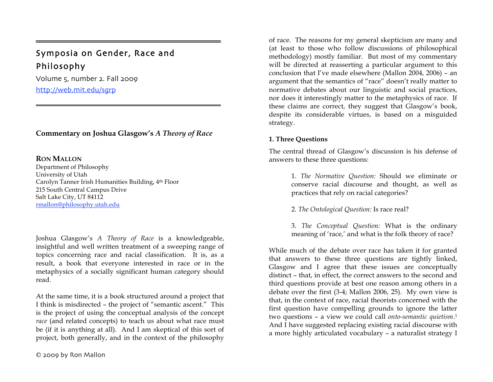# Symposia on Gender, Race and Philosophy

Volume 5, number 2. Fall 2009 http://web.mit.edu/sgrp

**Commentary on Joshua Glasgow's** *A Theory of Race*

### **RON MALLON**

=

Department of Philosophy University of Utah Carolyn Tanner Irish Humanities Building, 4th Floor 215 South Central Campus Drive Salt Lake City, UT 84112 rmallon@philosophy.utah.edu

Joshua Glasgow's *A Theory of Race* is a knowledgeable, insightful and well written treatment of a sweeping range of topics concerning race and racial classification. It is, as a result, a book that everyone interested in race or in the metaphysics of a socially significant human category should read.

At the same time, it is a book structured around a project that I think is misdirected – the project of "semantic ascent." This is the project of using the conceptual analysis of the concept *race* (and related concepts) to teach us about what race must be (if it is anything at all). And I am skeptical of this sort of project, both generally, and in the context of the philosophy

of race. The reasons for my general skepticism are many and (at least to those who follow discussions of philosophical methodology) mostly familiar. But most of my commentary will be directed at reasserting a particular argument to this conclusion that I've made elsewhere (Mallon 2004, 2006) – an argument that the semantics of "race" doesn't really matter to normative debates about our linguistic and social practices, nor does it interestingly matter to the metaphysics of race. If these claims are correct, they suggest that Glasgow's book, despite its considerable virtues, is based on a misguided strategy.

# **1. Three Questions**

The central thread of Glasgow's discussion is his defense of answers to these three questions:

> 1. *The Normative Question:* Should we eliminate or conserve racial discourse and thought, as well as practices that rely on racial categories?

2. *The Ontological Question:* Is race real?

3. *The Conceptual Question:* What is the ordinary meaning of 'race,' and what is the folk theory of race?

While much of the debate over race has taken it for granted that answers to these three questions are tightly linked, Glasgow and I agree that these issues are conceptually distinct – that, in effect, the correct answers to the second and third questions provide at best one reason among others in a debate over the first (3-4; Mallon 2006, 25). My own view is that, in the context of race, racial theorists concerned with the first question have compelling grounds to ignore the latter two questions – a view we could call *onto-semantic quietism*.1 And I have suggested replacing existing racial discourse with a more highly articulated vocabulary – a naturalist strategy I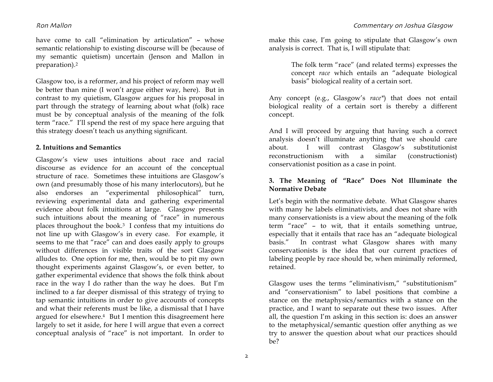have come to call "elimination by articulation" – whose semantic relationship to existing discourse will be (because of my semantic quietism) uncertain (Jenson and Mallon in preparation).2

Glasgow too, is a reformer, and his project of reform may well be better than mine (I won't argue either way, here). But in contrast to my quietism, Glasgow argues for his proposal in part through the strategy of learning about what (folk) race must be by conceptual analysis of the meaning of the folk term "race." I'll spend the rest of my space here arguing that this strategy doesn't teach us anything significant.

# **2. Intuitions and Semantics**

Glasgow's view uses intuitions about race and racial discourse as evidence for an account of the conceptual structure of race. Sometimes these intuitions are Glasgow's own (and presumably those of his many interlocutors), but he also endorses an "experimental philosophical" turn, reviewing experimental data and gathering experimental evidence about folk intuitions at large. Glasgow presents such intuitions about the meaning of "race" in numerous places throughout the book.3 I confess that my intuitions do not line up with Glasgow's in every case. For example, it seems to me that "race" can and does easily apply to groups without differences in visible traits of the sort Glasgow alludes to. One option for me, then, would be to pit my own thought experiments against Glasgow's, or even better, to gather experimental evidence that shows the folk think about race in the way I do rather than the way he does. But I'm inclined to a far deeper dismissal of this strategy of trying to tap semantic intuitions in order to give accounts of concepts and what their referents must be like, a dismissal that I have argued for elsewhere.4 But I mention this disagreement here largely to set it aside, for here I will argue that even a correct conceptual analysis of "race" is not important. In order to

make this case, I'm going to stipulate that Glasgow's own analysis is correct. That is, I will stipulate that:

> The folk term "race" (and related terms) expresses the concept *race* which entails an "adequate biological basis" biological reality of a certain sort.

Any concept (e.g., Glasgow's *race\**) that does not entail biological reality of a certain sort is thereby a different concept.

And I will proceed by arguing that having such a correct analysis doesn't illuminate anything that we should care about. I will contrast Glasgow's substitutionist reconstructionism with a similar (constructionist) conservationist position as a case in point.

# **3. The Meaning of "Race" Does Not Illuminate the Normative Debate**

Let's begin with the normative debate. What Glasgow shares with many he labels eliminativists, and does not share with many conservationists is a view about the meaning of the folk term "race" – to wit, that it entails something untrue, especially that it entails that race has an "adequate biological basis." In contrast what Glasgow shares with many conservationists is the idea that our current practices of labeling people by race should be, when minimally reformed, retained.

Glasgow uses the terms "eliminativism," "substitutionism" and "conservationism" to label positions that combine a stance on the metaphysics/semantics with a stance on the practice, and I want to separate out these two issues. After all, the question I'm asking in this section is: does an answer to the metaphysical/semantic question offer anything as we try to answer the question about what our practices should be?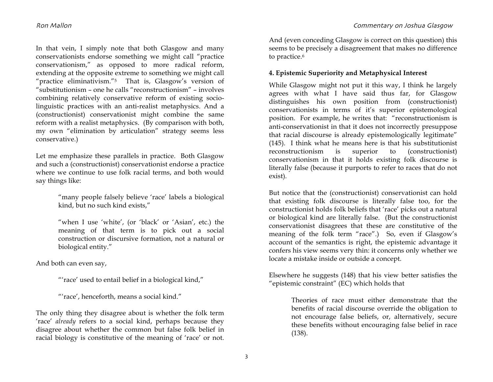In that vein, I simply note that both Glasgow and many conservationists endorse something we might call "practice conservationism," as opposed to more radical reform, extending at the opposite extreme to something we might call "practice eliminativism."5 That is, Glasgow's version of "substitutionism – one he calls "reconstructionism" – involves combining relatively conservative reform of existing sociolinguistic practices with an anti-realist metaphysics. And a (constructionist) conservationist might combine the same reform with a realist metaphysics. (By comparison with both, my own "elimination by articulation" strategy seems less conservative.)

Let me emphasize these parallels in practice. Both Glasgow and such a (constructionist) conservationist endorse a practice where we continue to use folk racial terms, and both would say things like:

> "many people falsely believe 'race' labels a biological kind, but no such kind exists,"

> "when I use 'white', (or 'black' or 'Asian', etc.) the meaning of that term is to pick out a social construction or discursive formation, not a natural or biological entity."

And both can even say,

"'race' used to entail belief in a biological kind,"

"'race', henceforth, means a social kind."

The only thing they disagree about is whether the folk term 'race' *already* refers to a social kind, perhaps because they disagree about whether the common but false folk belief in racial biology is constitutive of the meaning of 'race' or not.

And (even conceding Glasgow is correct on this question) this seems to be precisely a disagreement that makes no difference to practice.<sup>6</sup>

### **4. Epistemic Superiority and Metaphysical Interest**

While Glasgow might not put it this way, I think he largely agrees with what I have said thus far, for Glasgow distinguishes his own position from (constructionist) conservationists in terms of it's superior epistemological position. For example, he writes that: "reconstructionism is anti-conservationist in that it does not incorrectly presuppose that racial discourse is already epistemologically legitimate" (145). I think what he means here is that his substitutionist reconstructionism is superior to (constructionist) conservationism in that it holds existing folk discourse is literally false (because it purports to refer to races that do not exist).

But notice that the (constructionist) conservationist can hold that existing folk discourse is literally false too, for the constructionist holds folk beliefs that 'race' picks out a natural or biological kind are literally false. (But the constructionist conservationist disagrees that these are constitutive of the meaning of the folk term "race".) So, even if Glasgow's account of the semantics is right, the epistemic advantage it confers his view seems very thin: it concerns only whether we locate a mistake inside or outside a concept.

Elsewhere he suggests (148) that his view better satisfies the "epistemic constraint" (EC) which holds that

> Theories of race must either demonstrate that the benefits of racial discourse override the obligation to not encourage false beliefs, or, alternatively, secure these benefits without encouraging false belief in race (138).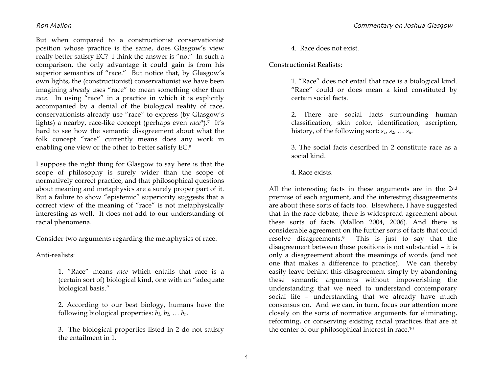But when compared to a constructionist conservationist position whose practice is the same, does Glasgow's view really better satisfy EC? I think the answer is "no." In such a comparison, the only advantage it could gain is from his superior semantics of "race." But notice that, by Glasgow's own lights, the (constructionist) conservationist we have been imagining *already* uses "race" to mean something other than *race*. In using "race" in a practice in which it is explicitly accompanied by a denial of the biological reality of race, conservationists already use "race" to express (by Glasgow's lights) a nearby, race-like concept (perhaps even *race\**).7 It's hard to see how the semantic disagreement about what the folk concept "race" currently means does any work in enabling one view or the other to better satisfy EC.8

I suppose the right thing for Glasgow to say here is that the scope of philosophy is surely wider than the scope of normatively correct practice, and that philosophical questions about meaning and metaphysics are a surely proper part of it. But a failure to show "epistemic" superiority suggests that a correct view of the meaning of "race" is not metaphysically interesting as well. It does not add to our understanding of racial phenomena.

Consider two arguments regarding the metaphysics of race.

Anti-realists:

1. "Race" means *race* which entails that race is a (certain sort of) biological kind, one with an "adequate biological basis."

2. According to our best biology, humans have the following biological properties:  $b_1$ ,  $b_2$ , ...  $b_n$ .

3. The biological properties listed in 2 do not satisfy the entailment in 1.

4. Race does not exist.

Constructionist Realists:

1. "Race" does not entail that race is a biological kind. "Race" could or does mean a kind constituted by certain social facts.

2. There are social facts surrounding human classification, skin color, identification, ascription, history, of the following sort: *s1, s2, … sn*.

3. The social facts described in 2 constitute race as a social kind.

4. Race exists.

All the interesting facts in these arguments are in the 2nd premise of each argument, and the interesting disagreements are about these sorts of facts too. Elsewhere, I have suggested that in the race debate, there is widespread agreement about these sorts of facts (Mallon 2004, 2006). And there is considerable agreement on the further sorts of facts that could resolve disagreements.9 This is just to say that the disagreement between these positions is not substantial – it is only a disagreement about the meanings of words (and not one that makes a difference to practice). We can thereby easily leave behind this disagreement simply by abandoning these semantic arguments without impoverishing the understanding that we need to understand contemporary social life – understanding that we already have much consensus on. And we can, in turn, focus our attention more closely on the sorts of normative arguments for eliminating, reforming, or conserving existing racial practices that are at the center of our philosophical interest in race.10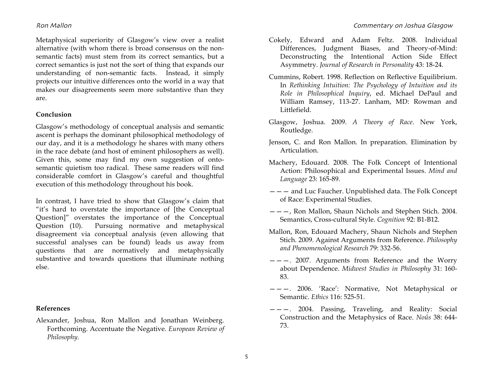Metaphysical superiority of Glasgow's view over a realist alternative (with whom there is broad consensus on the nonsemantic facts) must stem from its correct semantics, but a correct semantics is just not the sort of thing that expands our understanding of non-semantic facts. Instead, it simply projects our intuitive differences onto the world in a way that makes our disagreements seem more substantive than they are.

# **Conclusion**

Glasgow's methodology of conceptual analysis and semantic ascent is perhaps the dominant philosophical methodology of our day, and it is a methodology he shares with many others in the race debate (and host of eminent philosophers as well). Given this, some may find my own suggestion of ontosemantic quietism too radical. These same readers will find considerable comfort in Glasgow's careful and thoughtful execution of this methodology throughout his book.

In contrast, I have tried to show that Glasgow's claim that "it's hard to overstate the importance of [the Conceptual Question]" overstates the importance of the Conceptual Question (10). Pursuing normative and metaphysical disagreement via conceptual analysis (even allowing that successful analyses can be found) leads us away from questions that are normatively and metaphysically substantive and towards questions that illuminate nothing else.

# **References**

Alexander, Joshua, Ron Mallon and Jonathan Weinberg. Forthcoming. Accentuate the Negative. *European Review of Philosophy*.

- Cokely, Edward and Adam Feltz. 2008. Individual Differences, Judgment Biases, and Theory-of-Mind: Deconstructing the Intentional Action Side Effect Asymmetry. *Journal of Research in Personality* 43: 18-24.
- Cummins, Robert. 1998. Reflection on Reflective Equilibrium. In *Rethinking Intuition: The Psychology of Intuition and its Role in Philosophical Inquiry*, ed. Michael DePaul and William Ramsey, 113-27. Lanham, MD: Rowman and Littlefield.
- Glasgow, Joshua. 2009. *A Theory of Race*. New York, Routledge.
- Jenson, C. and Ron Mallon. In preparation. Elimination by Articulation.
- Machery, Edouard. 2008. The Folk Concept of Intentional Action: Philosophical and Experimental Issues. *Mind and Language* 23: 165-89.
- $---$  and Luc Faucher. Unpublished data. The Folk Concept of Race: Experimental Studies.
- ———, Ron Mallon, Shaun Nichols and Stephen Stich. 2004. Semantics, Cross-cultural Style. *Cognition* 92: B1-B12.
- Mallon, Ron, Edouard Machery, Shaun Nichols and Stephen Stich. 2009. Against Arguments from Reference. *Philosophy and Phenomenological Research* 79: 332-56.
- $---$ . 2007. Arguments from Reference and the Worry about Dependence. *Midwest Studies in Philosophy* 31: 160- 83.
- ———. 2006. 'Race': Normative, Not Metaphysical or Semantic. *Ethics* 116: 525-51.
- ———. 2004. Passing, Traveling, and Reality: Social Construction and the Metaphysics of Race. *Noûs* 38: 644- 73.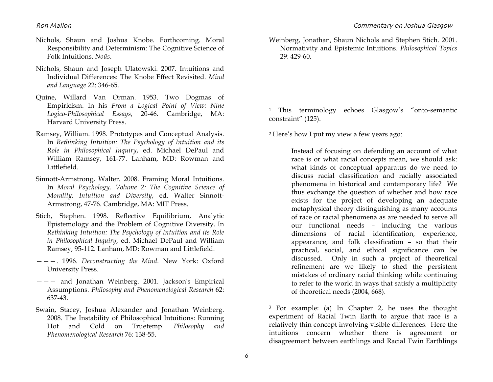- Nichols, Shaun and Joshua Knobe. Forthcoming. Moral Responsibility and Determinism: The Cognitive Science of Folk Intuitions. *Noûs*.
- Nichols, Shaun and Joseph Ulatowski. 2007. Intuitions and Individual Differences: The Knobe Effect Revisited. *Mind and Language* 22: 346-65.
- Quine, Willard Van Orman. 1953. Two Dogmas of Empiricism. In his *From a Logical Point of View: Nine Logico-Philosophical Essays*, 20-46. Cambridge, MA: Harvard University Press.
- Ramsey, William. 1998. Prototypes and Conceptual Analysis. In *Rethinking Intuition: The Psychology of Intuition and its Role in Philosophical Inquiry*, ed. Michael DePaul and William Ramsey, 161-77. Lanham, MD: Rowman and Littlefield.
- Sinnott-Armstrong, Walter. 2008. Framing Moral Intuitions. In *Moral Psychology, Volume 2: The Cognitive Science of Morality: Intuition and Diversity*, ed. Walter Sinnott-Armstrong, 47-76. Cambridge, MA: MIT Press.
- Stich, Stephen. 1998. Reflective Equilibrium, Analytic Epistemology and the Problem of Cognitive Diversity. In *Rethinking Intuition: The Psychology of Intuition and its Role in Philosophical Inquiry*, ed. Michael DePaul and William Ramsey, 95-112. Lanham, MD: Rowman and Littlefield.
- ———. 1996. *Deconstructing the Mind*. New York: Oxford University Press.
- ——— and Jonathan Weinberg. 2001. Jackson's Empirical Assumptions. *Philosophy and Phenomenological Research* 62: 637-43.
- Swain, Stacey, Joshua Alexander and Jonathan Weinberg. 2008. The Instability of Philosophical Intuitions: Running Hot and Cold on Truetemp. *Philosophy and Phenomenological Research* 76: 138-55.

Weinberg, Jonathan, Shaun Nichols and Stephen Stich. 2001. Normativity and Epistemic Intuitions. *Philosophical Topics* 29: 429-60.

<sup>1</sup> This terminology echoes Glasgow's "onto-semantic constraint" (125).

<sup>2</sup> Here's how I put my view a few years ago:

 $\overline{a}$ 

Instead of focusing on defending an account of what race is or what racial concepts mean, we should ask: what kinds of conceptual apparatus do we need to discuss racial classification and racially associated phenomena in historical and contemporary life? We thus exchange the question of whether and how race exists for the project of developing an adequate metaphysical theory distinguishing as many accounts of race or racial phenomena as are needed to serve all our functional needs – including the various dimensions of racial identification, experience, appearance, and folk classification – so that their practical, social, and ethical significance can be discussed. Only in such a project of theoretical refinement are we likely to shed the persistent mistakes of ordinary racial thinking while continuing to refer to the world in ways that satisfy a multiplicity of theoretical needs (2004, 668).

<sup>3</sup> For example: (a) In Chapter 2, he uses the thought experiment of Racial Twin Earth to argue that race is a relatively thin concept involving visible differences. Here the intuitions concern whether there is agreement or disagreement between earthlings and Racial Twin Earthlings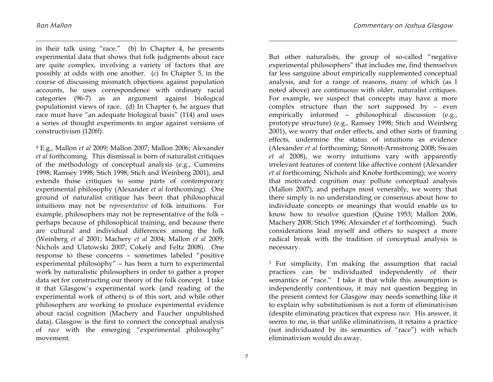1

in their talk using "race." (b) In Chapter 4, he presents experimental data that shows that folk judgments about race are quite complex, involving a variety of factors that are possibly at odds with one another. (c) In Chapter 5, in the course of discussing mismatch objections against population accounts, he uses correspondence with ordinary racial categories (96-7) as an argument against biological populationist views of race. (d) In Chapter 6, he argues that race must have "an adequate biological basis" (114) and uses a series of thought experiments to argue against versions of constructivism (120ff).

4 E.g., Mallon *et al* 2009; Mallon 2007; Mallon 2006; Alexander *et al* forthcoming. This dismissal is born of naturalist critiques of the methodology of conceptual analysis (e.g., Cummins 1998; Ramsey 1998; Stich 1998; Stich and Weinberg 2001), and extends those critiques to some parts of contemporary experimental philosophy (Alexander *et al* forthcoming). One ground of naturalist critique has been that philosophical intuitions may not be *representative* of folk intuitions. For example, philosophers may not be representative of the folk – perhaps because of philosophical training, and because there are cultural and individual differences among the folk (Weinberg *et al* 2001; Machery *et al* 2004; Mallon *et al* 2009; Nichols and Ulatowski 2007; Cokely and Feltz 2008). One response to these concerns – sometimes labeled "positive experimental philosophy" – has been a turn to experimental work by naturalistic philosophers in order to gather a proper data set for constructing our theory of the folk concept. I take it that Glasgow's experimental work (and reading of the experimental work of others) is of this sort, and while other philosophers are working to produce experimental evidence about racial cognition (Machery and Faucher unpublished data), Glasgow is the first to connect the conceptual analysis of *race* with the emerging "experimental philosophy" movement.

But other naturalists, the group of so-called "negative experimental philosophers" that includes me, find themselves far less sanguine about empirically supplemented conceptual analysis, and for a range of reasons, many of which (as I noted above) are continuous with older, naturalist critiques. For example, we suspect that concepts may have a more complex structure than the sort supposed by – even empirically informed – philosophical discussion (e.g., prototype structure) (e.g., Ramsey 1998; Stich and Weinberg 2001), we worry that order effects, and other sorts of framing effects, undermine the status of intuitions as evidence (Alexander *et al* forthcoming; Sinnott-Armstrong 2008; Swain *et al* 2008), we worry intuitions vary with apparently irrelevant features of content like affective content (Alexander *et al* forthcoming; Nichols and Knobe forthcoming); we worry that motivated cognition may pollute conceptual analysis (Mallon 2007), and perhaps most venerably, we worry that there simply is no understanding or consensus about how to individuate concepts or meanings that would enable us to know how to resolve question (Quine 1953; Mallon 2006, Machery 2008; Stich 1996; Alexander *et al* forthcoming). Such considerations lead myself and others to suspect a more radical break with the tradition of conceptual analysis is necessary.

5 For simplicity, I'm making the assumption that racial practices can be individuated independently of their semantics of "race." I take it that while this assumption is independently contentious, it may not question begging in the present context for Glasgow may needs something like it to explain why substitutionism is not a form of eliminativism (despite eliminating practices that express *race*. His answer, it seems to me, is that unlike eliminativism, it retains a practice (not individuated by its semantics of "race") with which eliminativism would do away.

 $\overline{a}$